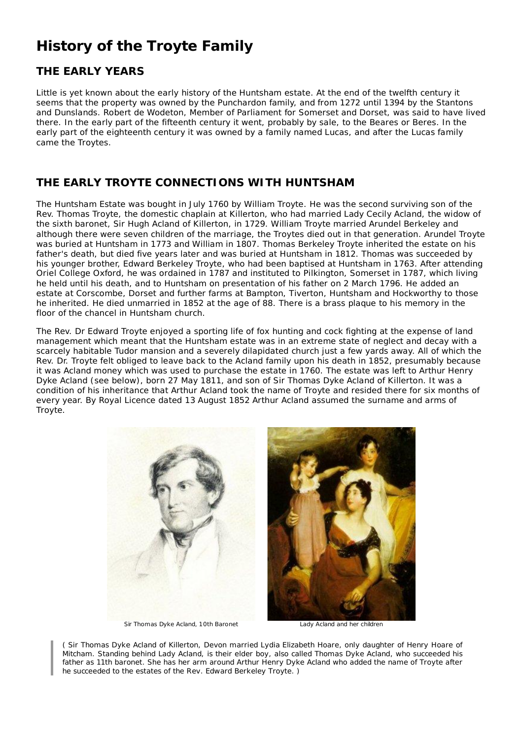# **History of the Troyte Family**

## **THE EARLY YEARS**

Little is yet known about the early history of the Huntsham estate. At the end of the twelfth century it seems that the property was owned by the Punchardon family, and from 1272 until 1394 by the Stantons and Dunslands. Robert de Wodeton, Member of Parliament for Somerset and Dorset, was said to have lived there. In the early part of the fifteenth century it went, probably by sale, to the Beares or Beres. In the early part of the eighteenth century it was owned by a family named Lucas, and after the Lucas family came the Troytes.

#### **THE EARLY TROYTE CONNECTIONS WITH HUNTSHAM**

The Huntsham Estate was bought in July 1760 by William Troyte. He was the second surviving son of the Rev. Thomas Troyte, the domestic chaplain at Killerton, who had married Lady Cecily Acland, the widow of the sixth baronet, Sir Hugh Acland of Killerton, in 1729. William Troyte married Arundel Berkeley and although there were seven children of the marriage, the Troytes died out in that generation. Arundel Troyte was buried at Huntsham in 1773 and William in 1807. Thomas Berkeley Troyte inherited the estate on his father's death, but died five years later and was buried at Huntsham in 1812. Thomas was succeeded by his younger brother, Edward Berkeley Troyte, who had been baptised at Huntsham in 1763. After attending Oriel College Oxford, he was ordained in 1787 and instituted to Pilkington, Somerset in 1787, which living he held until his death, and to Huntsham on presentation of his father on 2 March 1796. He added an estate at Corscombe, Dorset and further farms at Bampton, Tiverton, Huntsham and Hockworthy to those he inherited. He died unmarried in 1852 at the age of 88. There is a brass plaque to his memory in the floor of the chancel in Huntsham church.

The Rev. Dr Edward Troyte enjoyed a sporting life of fox hunting and cock fighting at the expense of land management which meant that the Huntsham estate was in an extreme state of neglect and decay with a scarcely habitable Tudor mansion and a severely dilapidated church just a few yards away. All of which the Rev. Dr. Troyte felt obliged to leave back to the Acland family upon his death in 1852, presumably because it was Acland money which was used to purchase the estate in 1760. The estate was left to Arthur Henry Dyke Acland (see below), born 27 May 1811, and son of Sir Thomas Dyke Acland of Killerton. It was a condition of his inheritance that Arthur Acland took the name of Troyte and resided there for six months of every year. By Royal Licence dated 13 August 1852 Arthur Acland assumed the surname and arms of Troyte.



*( Sir Thomas Dyke Acland of Killerton, Devon married Lydia Elizabeth Hoare, only daughter of Henry Hoare of Mitcham. Standing behind Lady Acland, is their elder boy, also called Thomas Dyke Acland, who succeeded his father as 11th baronet. She has her arm around Arthur Henry Dyke Acland who added the name of Troyte after he succeeded to the estates of the Rev. Edward Berkeley Troyte. )*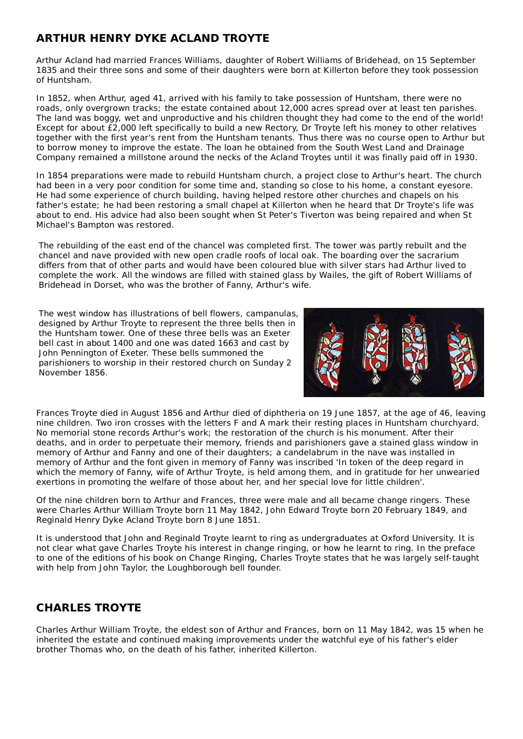### **ARTHUR HENRY DYKE ACLAND TROYTE**

Arthur Acland had married Frances Williams, daughter of Robert Williams of Bridehead, on 15 September 1835 and their three sons and some of their daughters were born at Killerton before they took possession of Huntsham.

In 1852, when Arthur, aged 41, arrived with his family to take possession of Huntsham, there were no roads, only overgrown tracks; the estate contained about 12,000 acres spread over at least ten parishes. The land was boggy, wet and unproductive and his children thought they had come to the end of the world! Except for about £2,000 left specifically to build a new Rectory, Dr Troyte left his money to other relatives together with the first year's rent from the Huntsham tenants. Thus there was no course open to Arthur but to borrow money to improve the estate. The loan he obtained from the South West Land and Drainage Company remained a millstone around the necks of the Acland Troytes until it was finally paid off in 1930.

In 1854 preparations were made to rebuild Huntsham church, a project close to Arthur's heart. The church had been in a very poor condition for some time and, standing so close to his home, a constant eyesore. He had some experience of church building, having helped restore other churches and chapels on his father's estate; he had been restoring a small chapel at Killerton when he heard that Dr Troyte's life was about to end. His advice had also been sought when St Peter's Tiverton was being repaired and when St Michael's Bampton was restored.

The rebuilding of the east end of the chancel was completed first. The tower was partly rebuilt and the chancel and nave provided with new open cradle roofs of local oak. The boarding over the sacrarium differs from that of other parts and would have been coloured blue with silver stars had Arthur lived to complete the work. All the windows are filled with stained glass by Wailes, the gift of Robert Williams of Bridehead in Dorset, who was the brother of Fanny, Arthur's wife.

The west window has illustrations of bell flowers, campanulas, designed by Arthur Troyte to represent the three bells then in the Huntsham tower. One of these three bells was an Exeter bell cast in about 1400 and one was dated 1663 and cast by John Pennington of Exeter. These bells summoned the parishioners to worship in their restored church on Sunday 2 November 1856.



Frances Troyte died in August 1856 and Arthur died of diphtheria on 19 June 1857, at the age of 46, leaving nine children. Two iron crosses with the letters F and A mark their resting places in Huntsham churchyard. No memorial stone records Arthur's work; the restoration of the church is his monument. After their deaths, and in order to perpetuate their memory, friends and parishioners gave a stained glass window in memory of Arthur and Fanny and one of their daughters; a candelabrum in the nave was installed in memory of Arthur and the font given in memory of Fanny was inscribed 'In token of the deep regard in which the memory of Fanny, wife of Arthur Troyte, is held among them, and in gratitude for her unwearied exertions in promoting the welfare of those about her, and her special love for little children'.

Of the nine children born to Arthur and Frances, three were male and all became change ringers. These were Charles Arthur William Troyte born 11 May 1842, John Edward Troyte born 20 February 1849, and Reginald Henry Dyke Acland Troyte born 8 June 1851.

It is understood that John and Reginald Troyte learnt to ring as undergraduates at Oxford University. It is not clear what gave Charles Troyte his interest in change ringing, or how he learnt to ring. In the preface to one of the editions of his book on Change Ringing, Charles Troyte states that he was largely self-taught with help from John Taylor, the Loughborough bell founder.

#### **CHARLES TROYTE**

Charles Arthur William Troyte, the eldest son of Arthur and Frances, born on 11 May 1842, was 15 when he inherited the estate and continued making improvements under the watchful eye of his father's elder brother Thomas who, on the death of his father, inherited Killerton.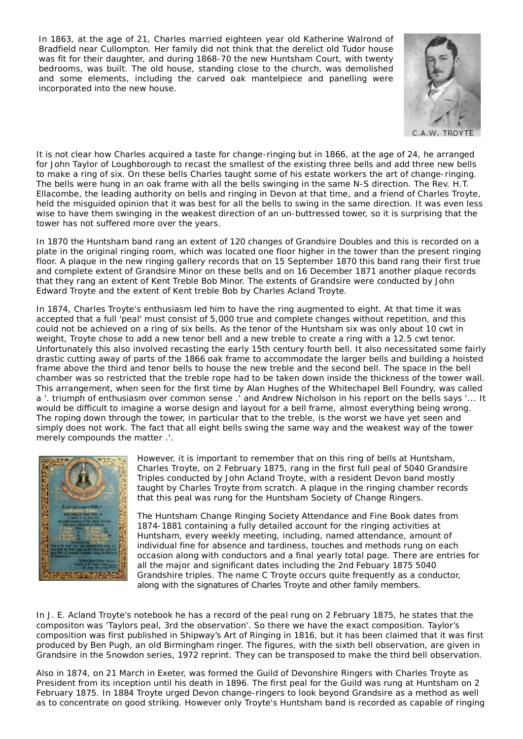In 1863, at the age of 21, Charles married eighteen year old Katherine Walrond of Bradfield near Cullompton. Her family did not think that the derelict old Tudor house was fit for their daughter, and during 1868-70 the new Huntsham Court, with twenty bedrooms, was built. The old house, standing close to the church, was demolished and some elements, including the carved oak mantelpiece and panelling were incorporated into the new house.



It is not clear how Charles acquired a taste for change-ringing but in 1866, at the age of 24, he arranged for John Taylor of Loughborough to recast the smallest of the existing three bells and add three new bells to make a ring of six. On these bells Charles taught some of his estate workers the art of change-ringing. The bells were hung in an oak frame with all the bells swinging in the same N-S direction. The Rev. H.T. Ellacombe, the leading authority on bells and ringing in Devon at that time, and a friend of Charles Troyte, held the misguided opinion that it was best for all the bells to swing in the same direction. It was even less wise to have them swinging in the weakest direction of an un-buttressed tower, so it is surprising that the tower has not suffered more over the years.

In 1870 the Huntsham band rang an extent of 120 changes of Grandsire Doubles and this is recorded on a plate in the original ringing room, which was located one floor higher in the tower than the present ringing floor. A plaque in the new ringing gallery records that on 15 September 1870 this band rang their first true and complete extent of Grandsire Minor on these bells and on 16 December 1871 another plaque records that they rang an extent of Kent Treble Bob Minor. The extents of Grandsire were conducted by John Edward Troyte and the extent of Kent treble Bob by Charles Acland Troyte.

In 1874, Charles Troyte's enthusiasm led him to have the ring augmented to eight. At that time it was accepted that a full 'peal' must consist of 5,000 true and complete changes without repetition, and this could not be achieved on a ring of six bells. As the tenor of the Huntsham six was only about 10 cwt in weight, Troyte chose to add a new tenor bell and a new treble to create a ring with a 12.5 cwt tenor. Unfortunately this also involved recasting the early 15th century fourth bell. It also necessitated some fairly drastic cutting away of parts of the 1866 oak frame to accommodate the larger bells and building a hoisted frame above the third and tenor bells to house the new treble and the second bell. The space in the bell chamber was so restricted that the treble rope had to be taken down inside the thickness of the tower wall. This arrangement, when seen for the first time by Alan Hughes of the Whitechapel Bell Foundry, was called a '. triumph of enthusiasm over common sense .' and Andrew Nicholson in his report on the bells says '... It would be difficult to imagine a worse design and layout for a bell frame, almost everything being wrong. The roping down through the tower, in particular that to the treble, is the worst we have yet seen and simply does not work. The fact that all eight bells swing the same way and the weakest way of the tower merely compounds the matter .'.



However, it is important to remember that on this ring of bells at Huntsham, Charles Troyte, on 2 February 1875, rang in the first full peal of 5040 Grandsire Triples conducted by John Acland Troyte, with a resident Devon band mostly taught by Charles Troyte from scratch. A plaque in the ringing chamber records that this peal was rung for the Huntsham Society of Change Ringers.

The Huntsham Change Ringing Society Attendance and Fine Book dates from 1874-1881 containing a fully detailed account for the ringing activities at Huntsham, every weekly meeting, including, named attendance, amount of individual fine for absence and tardiness, touches and methods rung on each occasion along with conductors and a final yearly total page. There are entries for all the major and significant dates including the 2nd Febuary 1875 5040 Grandshire triples. The name C Troyte occurs quite frequently as a conductor, along with the signatures of Charles Troyte and other family members.

In J. E. Acland Troyte's notebook he has a record of the peal rung on 2 February 1875, he states that the compositon was 'Taylors peal, 3rd the observation'. So there we have the exact composition. Taylor's composition was first published in Shipway's Art of Ringing in 1816, but it has been claimed that it was first produced by Ben Pugh, an old Birmingham ringer. The figures, with the sixth bell observation, are given in Grandsire in the Snowdon series, 1972 reprint. They can be transposed to make the third bell observation.

Also in 1874, on 21 March in Exeter, was formed the Guild of Devonshire Ringers with Charles Troyte as President from its inception until his death in 1896. The first peal for the Guild was rung at Huntsham on 2 February 1875. In 1884 Troyte urged Devon change-ringers to look beyond Grandsire as a method as well as to concentrate on good striking. However only Troyte's Huntsham band is recorded as capable of ringing